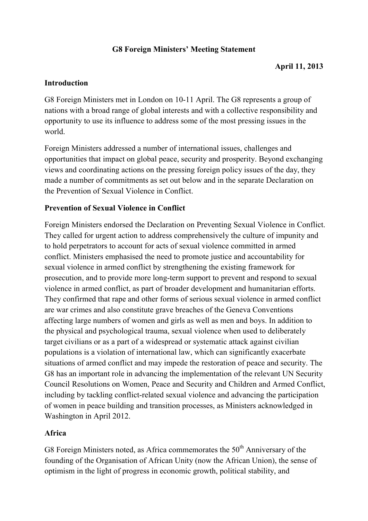## **G8 Foreign Ministers' Meeting Statement**

### **April 11, 2013**

#### **Introduction**

G8 Foreign Ministers met in London on 10-11 April. The G8 represents a group of nations with a broad range of global interests and with a collective responsibility and opportunity to use its influence to address some of the most pressing issues in the world.

Foreign Ministers addressed a number of international issues, challenges and opportunities that impact on global peace, security and prosperity. Beyond exchanging views and coordinating actions on the pressing foreign policy issues of the day, they made a number of commitments as set out below and in the separate Declaration on the Prevention of Sexual Violence in Conflict.

### **Prevention of Sexual Violence in Conflict**

Foreign Ministers endorsed the Declaration on Preventing Sexual Violence in Conflict. They called for urgent action to address comprehensively the culture of impunity and to hold perpetrators to account for acts of sexual violence committed in armed conflict. Ministers emphasised the need to promote justice and accountability for sexual violence in armed conflict by strengthening the existing framework for prosecution, and to provide more long-term support to prevent and respond to sexual violence in armed conflict, as part of broader development and humanitarian efforts. They confirmed that rape and other forms of serious sexual violence in armed conflict are war crimes and also constitute grave breaches of the Geneva Conventions affecting large numbers of women and girls as well as men and boys. In addition to the physical and psychological trauma, sexual violence when used to deliberately target civilians or as a part of a widespread or systematic attack against civilian populations is a violation of international law, which can significantly exacerbate situations of armed conflict and may impede the restoration of peace and security. The G8 has an important role in advancing the implementation of the relevant UN Security Council Resolutions on Women, Peace and Security and Children and Armed Conflict, including by tackling conflict-related sexual violence and advancing the participation of women in peace building and transition processes, as Ministers acknowledged in Washington in April 2012.

## **Africa**

G8 Foreign Ministers noted, as Africa commemorates the 50<sup>th</sup> Anniversary of the founding of the Organisation of African Unity (now the African Union), the sense of optimism in the light of progress in economic growth, political stability, and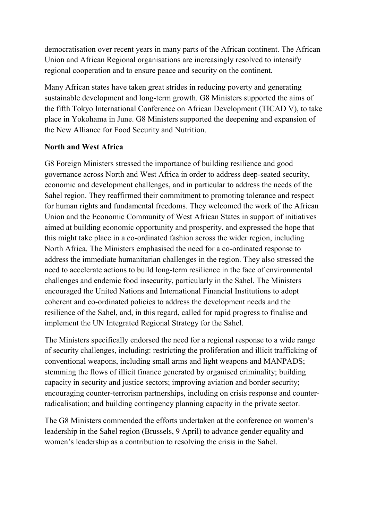democratisation over recent years in many parts of the African continent. The African Union and African Regional organisations are increasingly resolved to intensify regional cooperation and to ensure peace and security on the continent.

Many African states have taken great strides in reducing poverty and generating sustainable development and long-term growth. G8 Ministers supported the aims of the fifth Tokyo International Conference on African Development (TICAD V), to take place in Yokohama in June. G8 Ministers supported the deepening and expansion of the New Alliance for Food Security and Nutrition.

### **North and West Africa**

G8 Foreign Ministers stressed the importance of building resilience and good governance across North and West Africa in order to address deep-seated security, economic and development challenges, and in particular to address the needs of the Sahel region. They reaffirmed their commitment to promoting tolerance and respect for human rights and fundamental freedoms. They welcomed the work of the African Union and the Economic Community of West African States in support of initiatives aimed at building economic opportunity and prosperity, and expressed the hope that this might take place in a co-ordinated fashion across the wider region, including North Africa. The Ministers emphasised the need for a co-ordinated response to address the immediate humanitarian challenges in the region. They also stressed the need to accelerate actions to build long-term resilience in the face of environmental challenges and endemic food insecurity, particularly in the Sahel. The Ministers encouraged the United Nations and International Financial Institutions to adopt coherent and co-ordinated policies to address the development needs and the resilience of the Sahel, and, in this regard, called for rapid progress to finalise and implement the UN Integrated Regional Strategy for the Sahel.

The Ministers specifically endorsed the need for a regional response to a wide range of security challenges, including: restricting the proliferation and illicit trafficking of conventional weapons, including small arms and light weapons and MANPADS; stemming the flows of illicit finance generated by organised criminality; building capacity in security and justice sectors; improving aviation and border security; encouraging counter-terrorism partnerships, including on crisis response and counterradicalisation; and building contingency planning capacity in the private sector.

The G8 Ministers commended the efforts undertaken at the conference on women's leadership in the Sahel region (Brussels, 9 April) to advance gender equality and women's leadership as a contribution to resolving the crisis in the Sahel.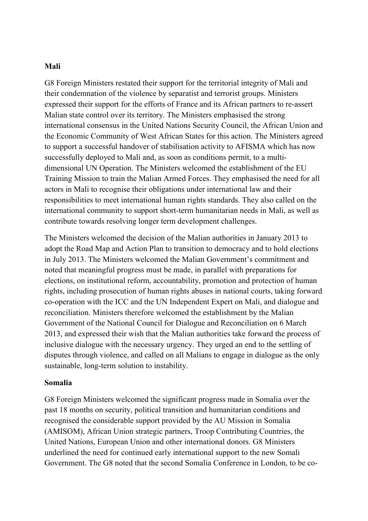#### **Mali**

G8 Foreign Ministers restated their support for the territorial integrity of Mali and their condemnation of the violence by separatist and terrorist groups. Ministers expressed their support for the efforts of France and its African partners to re-assert Malian state control over its territory. The Ministers emphasised the strong international consensus in the United Nations Security Council, the African Union and the Economic Community of West African States for this action. The Ministers agreed to support a successful handover of stabilisation activity to AFISMA which has now successfully deployed to Mali and, as soon as conditions permit, to a multidimensional UN Operation. The Ministers welcomed the establishment of the EU Training Mission to train the Malian Armed Forces. They emphasised the need for all actors in Mali to recognise their obligations under international law and their responsibilities to meet international human rights standards. They also called on the international community to support short-term humanitarian needs in Mali, as well as contribute towards resolving longer term development challenges.

The Ministers welcomed the decision of the Malian authorities in January 2013 to adopt the Road Map and Action Plan to transition to democracy and to hold elections in July 2013. The Ministers welcomed the Malian Government's commitment and noted that meaningful progress must be made, in parallel with preparations for elections, on institutional reform, accountability, promotion and protection of human rights, including prosecution of human rights abuses in national courts, taking forward co-operation with the ICC and the UN Independent Expert on Mali, and dialogue and reconciliation. Ministers therefore welcomed the establishment by the Malian Government of the National Council for Dialogue and Reconciliation on 6 March 2013, and expressed their wish that the Malian authorities take forward the process of inclusive dialogue with the necessary urgency. They urged an end to the settling of disputes through violence, and called on all Malians to engage in dialogue as the only sustainable, long-term solution to instability.

#### **Somalia**

G8 Foreign Ministers welcomed the significant progress made in Somalia over the past 18 months on security, political transition and humanitarian conditions and recognised the considerable support provided by the AU Mission in Somalia (AMISOM), African Union strategic partners, Troop Contributing Countries, the United Nations, European Union and other international donors. G8 Ministers underlined the need for continued early international support to the new Somali Government. The G8 noted that the second Somalia Conference in London, to be co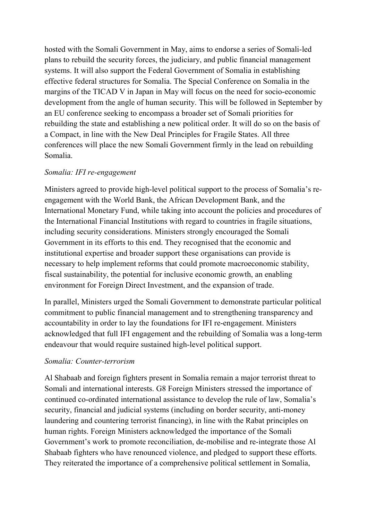hosted with the Somali Government in May, aims to endorse a series of Somali-led plans to rebuild the security forces, the judiciary, and public financial management systems. It will also support the Federal Government of Somalia in establishing effective federal structures for Somalia. The Special Conference on Somalia in the margins of the TICAD V in Japan in May will focus on the need for socio-economic development from the angle of human security. This will be followed in September by an EU conference seeking to encompass a broader set of Somali priorities for rebuilding the state and establishing a new political order. It will do so on the basis of a Compact, in line with the New Deal Principles for Fragile States. All three conferences will place the new Somali Government firmly in the lead on rebuilding Somalia.

#### *Somalia: IFI re-engagement*

Ministers agreed to provide high-level political support to the process of Somalia's reengagement with the World Bank, the African Development Bank, and the International Monetary Fund, while taking into account the policies and procedures of the International Financial Institutions with regard to countries in fragile situations, including security considerations. Ministers strongly encouraged the Somali Government in its efforts to this end. They recognised that the economic and institutional expertise and broader support these organisations can provide is necessary to help implement reforms that could promote macroeconomic stability, fiscal sustainability, the potential for inclusive economic growth, an enabling environment for Foreign Direct Investment, and the expansion of trade.

In parallel, Ministers urged the Somali Government to demonstrate particular political commitment to public financial management and to strengthening transparency and accountability in order to lay the foundations for IFI re-engagement. Ministers acknowledged that full IFI engagement and the rebuilding of Somalia was a long-term endeavour that would require sustained high-level political support.

#### *Somalia: Counter-terrorism*

Al Shabaab and foreign fighters present in Somalia remain a major terrorist threat to Somali and international interests. G8 Foreign Ministers stressed the importance of continued co-ordinated international assistance to develop the rule of law, Somalia's security, financial and judicial systems (including on border security, anti-money laundering and countering terrorist financing), in line with the Rabat principles on human rights. Foreign Ministers acknowledged the importance of the Somali Government's work to promote reconciliation, de-mobilise and re-integrate those Al Shabaab fighters who have renounced violence, and pledged to support these efforts. They reiterated the importance of a comprehensive political settlement in Somalia,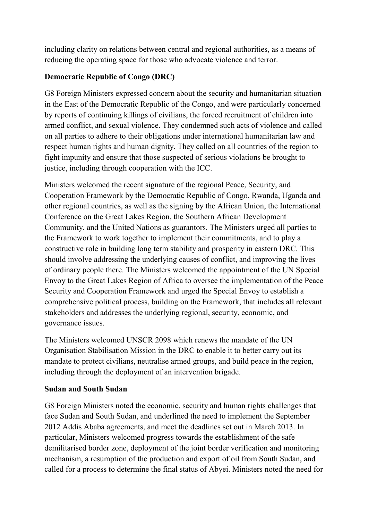including clarity on relations between central and regional authorities, as a means of reducing the operating space for those who advocate violence and terror.

## **Democratic Republic of Congo (DRC)**

G8 Foreign Ministers expressed concern about the security and humanitarian situation in the East of the Democratic Republic of the Congo, and were particularly concerned by reports of continuing killings of civilians, the forced recruitment of children into armed conflict, and sexual violence. They condemned such acts of violence and called on all parties to adhere to their obligations under international humanitarian law and respect human rights and human dignity. They called on all countries of the region to fight impunity and ensure that those suspected of serious violations be brought to justice, including through cooperation with the ICC.

Ministers welcomed the recent signature of the regional Peace, Security, and Cooperation Framework by the Democratic Republic of Congo, Rwanda, Uganda and other regional countries, as well as the signing by the African Union, the International Conference on the Great Lakes Region, the Southern African Development Community, and the United Nations as guarantors. The Ministers urged all parties to the Framework to work together to implement their commitments, and to play a constructive role in building long term stability and prosperity in eastern DRC. This should involve addressing the underlying causes of conflict, and improving the lives of ordinary people there. The Ministers welcomed the appointment of the UN Special Envoy to the Great Lakes Region of Africa to oversee the implementation of the Peace Security and Cooperation Framework and urged the Special Envoy to establish a comprehensive political process, building on the Framework, that includes all relevant stakeholders and addresses the underlying regional, security, economic, and governance issues.

The Ministers welcomed UNSCR 2098 which renews the mandate of the UN Organisation Stabilisation Mission in the DRC to enable it to better carry out its mandate to protect civilians, neutralise armed groups, and build peace in the region, including through the deployment of an intervention brigade.

## **Sudan and South Sudan**

G8 Foreign Ministers noted the economic, security and human rights challenges that face Sudan and South Sudan, and underlined the need to implement the September 2012 Addis Ababa agreements, and meet the deadlines set out in March 2013. In particular, Ministers welcomed progress towards the establishment of the safe demilitarised border zone, deployment of the joint border verification and monitoring mechanism, a resumption of the production and export of oil from South Sudan, and called for a process to determine the final status of Abyei. Ministers noted the need for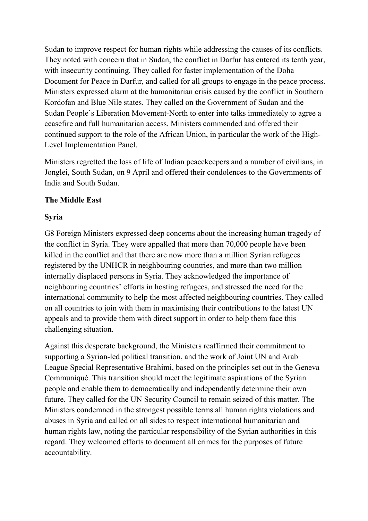Sudan to improve respect for human rights while addressing the causes of its conflicts. They noted with concern that in Sudan, the conflict in Darfur has entered its tenth year, with insecurity continuing. They called for faster implementation of the Doha Document for Peace in Darfur, and called for all groups to engage in the peace process. Ministers expressed alarm at the humanitarian crisis caused by the conflict in Southern Kordofan and Blue Nile states. They called on the Government of Sudan and the Sudan People's Liberation Movement-North to enter into talks immediately to agree a ceasefire and full humanitarian access. Ministers commended and offered their continued support to the role of the African Union, in particular the work of the High-Level Implementation Panel.

Ministers regretted the loss of life of Indian peacekeepers and a number of civilians, in Jonglei, South Sudan, on 9 April and offered their condolences to the Governments of India and South Sudan.

## **The Middle East**

## **Syria**

G8 Foreign Ministers expressed deep concerns about the increasing human tragedy of the conflict in Syria. They were appalled that more than 70,000 people have been killed in the conflict and that there are now more than a million Syrian refugees registered by the UNHCR in neighbouring countries, and more than two million internally displaced persons in Syria. They acknowledged the importance of neighbouring countries' efforts in hosting refugees, and stressed the need for the international community to help the most affected neighbouring countries. They called on all countries to join with them in maximising their contributions to the latest UN appeals and to provide them with direct support in order to help them face this challenging situation.

Against this desperate background, the Ministers reaffirmed their commitment to supporting a Syrian-led political transition, and the work of Joint UN and Arab League Special Representative Brahimi, based on the principles set out in the Geneva Communiqué. This transition should meet the legitimate aspirations of the Syrian people and enable them to democratically and independently determine their own future. They called for the UN Security Council to remain seized of this matter. The Ministers condemned in the strongest possible terms all human rights violations and abuses in Syria and called on all sides to respect international humanitarian and human rights law, noting the particular responsibility of the Syrian authorities in this regard. They welcomed efforts to document all crimes for the purposes of future accountability.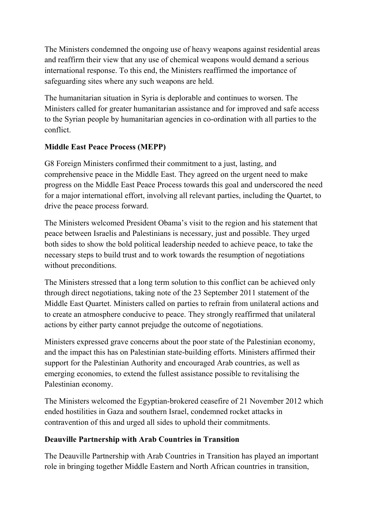The Ministers condemned the ongoing use of heavy weapons against residential areas and reaffirm their view that any use of chemical weapons would demand a serious international response. To this end, the Ministers reaffirmed the importance of safeguarding sites where any such weapons are held.

The humanitarian situation in Syria is deplorable and continues to worsen. The Ministers called for greater humanitarian assistance and for improved and safe access to the Syrian people by humanitarian agencies in co-ordination with all parties to the conflict.

## **Middle East Peace Process (MEPP)**

G8 Foreign Ministers confirmed their commitment to a just, lasting, and comprehensive peace in the Middle East. They agreed on the urgent need to make progress on the Middle East Peace Process towards this goal and underscored the need for a major international effort, involving all relevant parties, including the Quartet, to drive the peace process forward.

The Ministers welcomed President Obama's visit to the region and his statement that peace between Israelis and Palestinians is necessary, just and possible. They urged both sides to show the bold political leadership needed to achieve peace, to take the necessary steps to build trust and to work towards the resumption of negotiations without preconditions.

The Ministers stressed that a long term solution to this conflict can be achieved only through direct negotiations, taking note of the 23 September 2011 statement of the Middle East Quartet. Ministers called on parties to refrain from unilateral actions and to create an atmosphere conducive to peace. They strongly reaffirmed that unilateral actions by either party cannot prejudge the outcome of negotiations.

Ministers expressed grave concerns about the poor state of the Palestinian economy, and the impact this has on Palestinian state-building efforts. Ministers affirmed their support for the Palestinian Authority and encouraged Arab countries, as well as emerging economies, to extend the fullest assistance possible to revitalising the Palestinian economy.

The Ministers welcomed the Egyptian-brokered ceasefire of 21 November 2012 which ended hostilities in Gaza and southern Israel, condemned rocket attacks in contravention of this and urged all sides to uphold their commitments.

# **Deauville Partnership with Arab Countries in Transition**

The Deauville Partnership with Arab Countries in Transition has played an important role in bringing together Middle Eastern and North African countries in transition,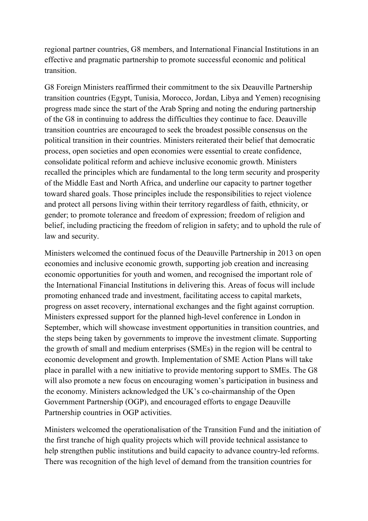regional partner countries, G8 members, and International Financial Institutions in an effective and pragmatic partnership to promote successful economic and political transition.

G8 Foreign Ministers reaffirmed their commitment to the six Deauville Partnership transition countries (Egypt, Tunisia, Morocco, Jordan, Libya and Yemen) recognising progress made since the start of the Arab Spring and noting the enduring partnership of the G8 in continuing to address the difficulties they continue to face. Deauville transition countries are encouraged to seek the broadest possible consensus on the political transition in their countries. Ministers reiterated their belief that democratic process, open societies and open economies were essential to create confidence, consolidate political reform and achieve inclusive economic growth. Ministers recalled the principles which are fundamental to the long term security and prosperity of the Middle East and North Africa, and underline our capacity to partner together toward shared goals. Those principles include the responsibilities to reject violence and protect all persons living within their territory regardless of faith, ethnicity, or gender; to promote tolerance and freedom of expression; freedom of religion and belief, including practicing the freedom of religion in safety; and to uphold the rule of law and security.

Ministers welcomed the continued focus of the Deauville Partnership in 2013 on open economies and inclusive economic growth, supporting job creation and increasing economic opportunities for youth and women, and recognised the important role of the International Financial Institutions in delivering this. Areas of focus will include promoting enhanced trade and investment, facilitating access to capital markets, progress on asset recovery, international exchanges and the fight against corruption. Ministers expressed support for the planned high-level conference in London in September, which will showcase investment opportunities in transition countries, and the steps being taken by governments to improve the investment climate. Supporting the growth of small and medium enterprises (SMEs) in the region will be central to economic development and growth. Implementation of SME Action Plans will take place in parallel with a new initiative to provide mentoring support to SMEs. The G8 will also promote a new focus on encouraging women's participation in business and the economy. Ministers acknowledged the UK's co-chairmanship of the Open Government Partnership (OGP), and encouraged efforts to engage Deauville Partnership countries in OGP activities.

Ministers welcomed the operationalisation of the Transition Fund and the initiation of the first tranche of high quality projects which will provide technical assistance to help strengthen public institutions and build capacity to advance country-led reforms. There was recognition of the high level of demand from the transition countries for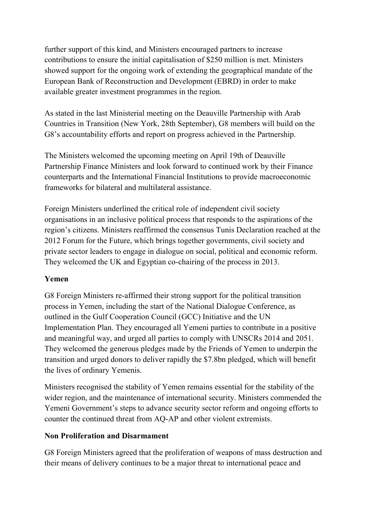further support of this kind, and Ministers encouraged partners to increase contributions to ensure the initial capitalisation of \$250 million is met. Ministers showed support for the ongoing work of extending the geographical mandate of the European Bank of Reconstruction and Development (EBRD) in order to make available greater investment programmes in the region.

As stated in the last Ministerial meeting on the Deauville Partnership with Arab Countries in Transition (New York, 28th September), G8 members will build on the G8's accountability efforts and report on progress achieved in the Partnership.

The Ministers welcomed the upcoming meeting on April 19th of Deauville Partnership Finance Ministers and look forward to continued work by their Finance counterparts and the International Financial Institutions to provide macroeconomic frameworks for bilateral and multilateral assistance.

Foreign Ministers underlined the critical role of independent civil society organisations in an inclusive political process that responds to the aspirations of the region's citizens. Ministers reaffirmed the consensus Tunis Declaration reached at the 2012 Forum for the Future, which brings together governments, civil society and private sector leaders to engage in dialogue on social, political and economic reform. They welcomed the UK and Egyptian co-chairing of the process in 2013.

## **Yemen**

G8 Foreign Ministers re-affirmed their strong support for the political transition process in Yemen, including the start of the National Dialogue Conference, as outlined in the Gulf Cooperation Council (GCC) Initiative and the UN Implementation Plan. They encouraged all Yemeni parties to contribute in a positive and meaningful way, and urged all parties to comply with UNSCRs 2014 and 2051. They welcomed the generous pledges made by the Friends of Yemen to underpin the transition and urged donors to deliver rapidly the \$7.8bn pledged, which will benefit the lives of ordinary Yemenis.

Ministers recognised the stability of Yemen remains essential for the stability of the wider region, and the maintenance of international security. Ministers commended the Yemeni Government's steps to advance security sector reform and ongoing efforts to counter the continued threat from AQ-AP and other violent extremists.

#### **Non Proliferation and Disarmament**

G8 Foreign Ministers agreed that the proliferation of weapons of mass destruction and their means of delivery continues to be a major threat to international peace and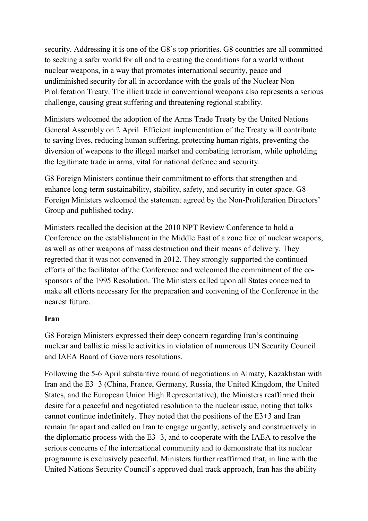security. Addressing it is one of the G8's top priorities. G8 countries are all committed to seeking a safer world for all and to creating the conditions for a world without nuclear weapons, in a way that promotes international security, peace and undiminished security for all in accordance with the goals of the Nuclear Non Proliferation Treaty. The illicit trade in conventional weapons also represents a serious challenge, causing great suffering and threatening regional stability.

Ministers welcomed the adoption of the Arms Trade Treaty by the United Nations General Assembly on 2 April. Efficient implementation of the Treaty will contribute to saving lives, reducing human suffering, protecting human rights, preventing the diversion of weapons to the illegal market and combating terrorism, while upholding the legitimate trade in arms, vital for national defence and security.

G8 Foreign Ministers continue their commitment to efforts that strengthen and enhance long-term sustainability, stability, safety, and security in outer space. G8 Foreign Ministers welcomed the statement agreed by the Non-Proliferation Directors' Group and published today.

Ministers recalled the decision at the 2010 NPT Review Conference to hold a Conference on the establishment in the Middle East of a zone free of nuclear weapons, as well as other weapons of mass destruction and their means of delivery. They regretted that it was not convened in 2012. They strongly supported the continued efforts of the facilitator of the Conference and welcomed the commitment of the cosponsors of the 1995 Resolution. The Ministers called upon all States concerned to make all efforts necessary for the preparation and convening of the Conference in the nearest future.

## **Iran**

G8 Foreign Ministers expressed their deep concern regarding Iran's continuing nuclear and ballistic missile activities in violation of numerous UN Security Council and IAEA Board of Governors resolutions.

Following the 5-6 April substantive round of negotiations in Almaty, Kazakhstan with Iran and the E3+3 (China, France, Germany, Russia, the United Kingdom, the United States, and the European Union High Representative), the Ministers reaffirmed their desire for a peaceful and negotiated resolution to the nuclear issue, noting that talks cannot continue indefinitely. They noted that the positions of the E3+3 and Iran remain far apart and called on Iran to engage urgently, actively and constructively in the diplomatic process with the E3+3, and to cooperate with the IAEA to resolve the serious concerns of the international community and to demonstrate that its nuclear programme is exclusively peaceful. Ministers further reaffirmed that, in line with the United Nations Security Council's approved dual track approach, Iran has the ability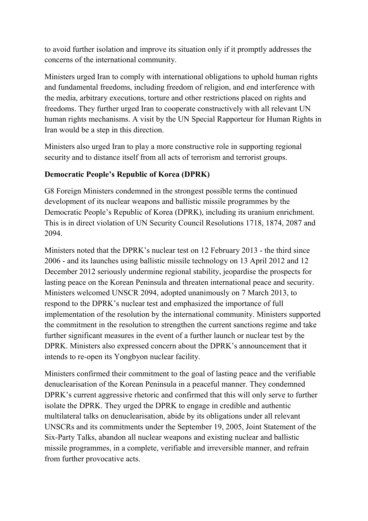to avoid further isolation and improve its situation only if it promptly addresses the concerns of the international community.

Ministers urged Iran to comply with international obligations to uphold human rights and fundamental freedoms, including freedom of religion, and end interference with the media, arbitrary executions, torture and other restrictions placed on rights and freedoms. They further urged Iran to cooperate constructively with all relevant UN human rights mechanisms. A visit by the UN Special Rapporteur for Human Rights in Iran would be a step in this direction.

Ministers also urged Iran to play a more constructive role in supporting regional security and to distance itself from all acts of terrorism and terrorist groups.

## **Democratic People's Republic of Korea (DPRK)**

G8 Foreign Ministers condemned in the strongest possible terms the continued development of its nuclear weapons and ballistic missile programmes by the Democratic People's Republic of Korea (DPRK), including its uranium enrichment. This is in direct violation of UN Security Council Resolutions 1718, 1874, 2087 and 2094.

Ministers noted that the DPRK's nuclear test on 12 February 2013 - the third since 2006 - and its launches using ballistic missile technology on 13 April 2012 and 12 December 2012 seriously undermine regional stability, jeopardise the prospects for lasting peace on the Korean Peninsula and threaten international peace and security. Ministers welcomed UNSCR 2094, adopted unanimously on 7 March 2013, to respond to the DPRK's nuclear test and emphasized the importance of full implementation of the resolution by the international community. Ministers supported the commitment in the resolution to strengthen the current sanctions regime and take further significant measures in the event of a further launch or nuclear test by the DPRK. Ministers also expressed concern about the DPRK's announcement that it intends to re-open its Yongbyon nuclear facility.

Ministers confirmed their commitment to the goal of lasting peace and the verifiable denuclearisation of the Korean Peninsula in a peaceful manner. They condemned DPRK's current aggressive rhetoric and confirmed that this will only serve to further isolate the DPRK. They urged the DPRK to engage in credible and authentic multilateral talks on denuclearisation, abide by its obligations under all relevant UNSCRs and its commitments under the September 19, 2005, Joint Statement of the Six-Party Talks, abandon all nuclear weapons and existing nuclear and ballistic missile programmes, in a complete, verifiable and irreversible manner, and refrain from further provocative acts.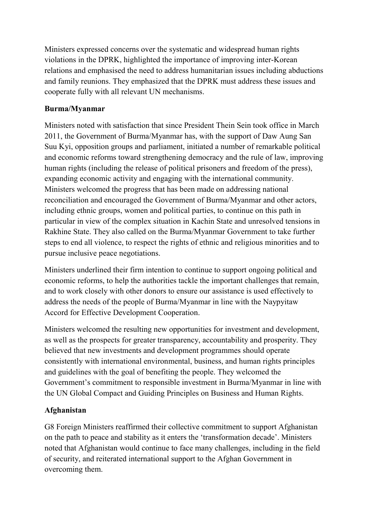Ministers expressed concerns over the systematic and widespread human rights violations in the DPRK, highlighted the importance of improving inter-Korean relations and emphasised the need to address humanitarian issues including abductions and family reunions. They emphasized that the DPRK must address these issues and cooperate fully with all relevant UN mechanisms.

## **Burma/Myanmar**

Ministers noted with satisfaction that since President Thein Sein took office in March 2011, the Government of Burma/Myanmar has, with the support of Daw Aung San Suu Kyi, opposition groups and parliament, initiated a number of remarkable political and economic reforms toward strengthening democracy and the rule of law, improving human rights (including the release of political prisoners and freedom of the press), expanding economic activity and engaging with the international community. Ministers welcomed the progress that has been made on addressing national reconciliation and encouraged the Government of Burma/Myanmar and other actors, including ethnic groups, women and political parties, to continue on this path in particular in view of the complex situation in Kachin State and unresolved tensions in Rakhine State. They also called on the Burma/Myanmar Government to take further steps to end all violence, to respect the rights of ethnic and religious minorities and to pursue inclusive peace negotiations.

Ministers underlined their firm intention to continue to support ongoing political and economic reforms, to help the authorities tackle the important challenges that remain, and to work closely with other donors to ensure our assistance is used effectively to address the needs of the people of Burma/Myanmar in line with the Naypyitaw Accord for Effective Development Cooperation.

Ministers welcomed the resulting new opportunities for investment and development, as well as the prospects for greater transparency, accountability and prosperity. They believed that new investments and development programmes should operate consistently with international environmental, business, and human rights principles and guidelines with the goal of benefiting the people. They welcomed the Government's commitment to responsible investment in Burma/Myanmar in line with the UN Global Compact and Guiding Principles on Business and Human Rights.

# **Afghanistan**

G8 Foreign Ministers reaffirmed their collective commitment to support Afghanistan on the path to peace and stability as it enters the 'transformation decade'. Ministers noted that Afghanistan would continue to face many challenges, including in the field of security, and reiterated international support to the Afghan Government in overcoming them.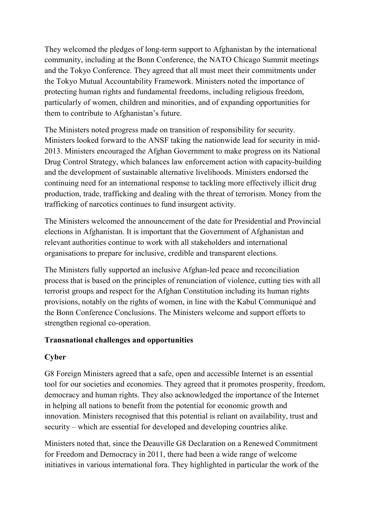They welcomed the pledges of long-term support to Afghanistan by the international community, including at the Bonn Conference, the NATO Chicago Summit meetings and the Tokyo Conference. They agreed that all must meet their commitments under the Tokyo Mutual Accountability Framework. Ministers noted the importance of protecting human rights and fundamental freedoms, including religious freedom, particularly of women, children and minorities, and of expanding opportunities for them to contribute to Afghanistan's future.

The Ministers noted progress made on transition of responsibility for security. Ministers looked forward to the ANSF taking the nationwide lead for security in mid-2013. Ministers encouraged the Afghan Government to make progress on its National Drug Control Strategy, which balances law enforcement action with capacity-building and the development of sustainable alternative livelihoods. Ministers endorsed the continuing need for an international response to tackling more effectively illicit drug production, trade, trafficking and dealing with the threat of terrorism. Money from the trafficking of narcotics continues to fund insurgent activity.

The Ministers welcomed the announcement of the date for Presidential and Provincial elections in Afghanistan. It is important that the Government of Afghanistan and relevant authorities continue to work with all stakeholders and international organisations to prepare for inclusive, credible and transparent elections.

The Ministers fully supported an inclusive Afghan-led peace and reconciliation process that is based on the principles of renunciation of violence, cutting ties with all terrorist groups and respect for the Afghan Constitution including its human rights provisions, notably on the rights of women, in line with the Kabul Communiqué and the Bonn Conference Conclusions. The Ministers welcome and support efforts to strengthen regional co-operation.

## **Transnational challenges and opportunities**

## **Cyber**

G8 Foreign Ministers agreed that a safe, open and accessible Internet is an essential tool for our societies and economies. They agreed that it promotes prosperity, freedom, democracy and human rights. They also acknowledged the importance of the Internet in helping all nations to benefit from the potential for economic growth and innovation. Ministers recognised that this potential is reliant on availability, trust and security – which are essential for developed and developing countries alike.

Ministers noted that, since the Deauville G8 Declaration on a Renewed Commitment for Freedom and Democracy in 2011, there had been a wide range of welcome initiatives in various international fora. They highlighted in particular the work of the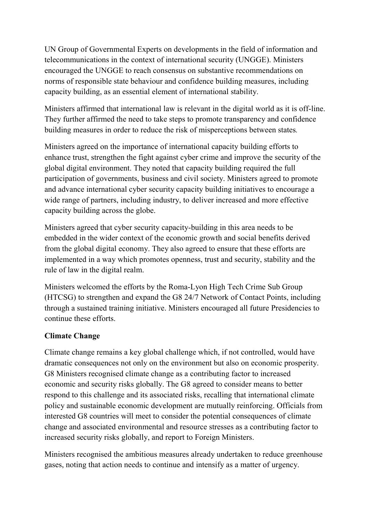UN Group of Governmental Experts on developments in the field of information and telecommunications in the context of international security (UNGGE). Ministers encouraged the UNGGE to reach consensus on substantive recommendations on norms of responsible state behaviour and confidence building measures, including capacity building, as an essential element of international stability.

Ministers affirmed that international law is relevant in the digital world as it is off-line. They further affirmed the need to take steps to promote transparency and confidence building measures in order to reduce the risk of misperceptions between states*.*

Ministers agreed on the importance of international capacity building efforts to enhance trust, strengthen the fight against cyber crime and improve the security of the global digital environment. They noted that capacity building required the full participation of governments, business and civil society. Ministers agreed to promote and advance international cyber security capacity building initiatives to encourage a wide range of partners, including industry, to deliver increased and more effective capacity building across the globe.

Ministers agreed that cyber security capacity-building in this area needs to be embedded in the wider context of the economic growth and social benefits derived from the global digital economy. They also agreed to ensure that these efforts are implemented in a way which promotes openness, trust and security, stability and the rule of law in the digital realm.

Ministers welcomed the efforts by the Roma-Lyon High Tech Crime Sub Group (HTCSG) to strengthen and expand the G8 24/7 Network of Contact Points, including through a sustained training initiative. Ministers encouraged all future Presidencies to continue these efforts.

# **Climate Change**

Climate change remains a key global challenge which, if not controlled, would have dramatic consequences not only on the environment but also on economic prosperity. G8 Ministers recognised climate change as a contributing factor to increased economic and security risks globally. The G8 agreed to consider means to better respond to this challenge and its associated risks, recalling that international climate policy and sustainable economic development are mutually reinforcing. Officials from interested G8 countries will meet to consider the potential consequences of climate change and associated environmental and resource stresses as a contributing factor to increased security risks globally, and report to Foreign Ministers.

Ministers recognised the ambitious measures already undertaken to reduce greenhouse gases, noting that action needs to continue and intensify as a matter of urgency.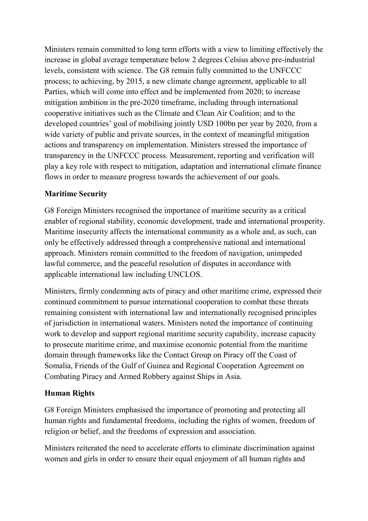Ministers remain committed to long term efforts with a view to limiting effectively the increase in global average temperature below 2 degrees Celsius above pre-industrial levels, consistent with science. The G8 remain fully committed to the UNFCCC process; to achieving, by 2015, a new climate change agreement, applicable to all Parties, which will come into effect and be implemented from 2020; to increase mitigation ambition in the pre-2020 timeframe, including through international cooperative initiatives such as the Climate and Clean Air Coalition; and to the developed countries' goal of mobilising jointly USD 100bn per year by 2020, from a wide variety of public and private sources, in the context of meaningful mitigation actions and transparency on implementation. Ministers stressed the importance of transparency in the UNFCCC process. Measurement, reporting and verification will play a key role with respect to mitigation, adaptation and international climate finance flows in order to measure progress towards the achievement of our goals.

# **Maritime Security**

G8 Foreign Ministers recognised the importance of maritime security as a critical enabler of regional stability, economic development, trade and international prosperity. Maritime insecurity affects the international community as a whole and, as such, can only be effectively addressed through a comprehensive national and international approach. Ministers remain committed to the freedom of navigation, unimpeded lawful commerce, and the peaceful resolution of disputes in accordance with applicable international law including UNCLOS.

Ministers, firmly condemning acts of piracy and other maritime crime, expressed their continued commitment to pursue international cooperation to combat these threats remaining consistent with international law and internationally recognised principles of jurisdiction in international waters. Ministers noted the importance of continuing work to develop and support regional maritime security capability, increase capacity to prosecute maritime crime, and maximise economic potential from the maritime domain through frameworks like the Contact Group on Piracy off the Coast of Somalia, Friends of the Gulf of Guinea and Regional Cooperation Agreement on Combating Piracy and Armed Robbery against Ships in Asia.

## **Human Rights**

G8 Foreign Ministers emphasised the importance of promoting and protecting all human rights and fundamental freedoms, including the rights of women, freedom of religion or belief, and the freedoms of expression and association.

Ministers reiterated the need to accelerate efforts to eliminate discrimination against women and girls in order to ensure their equal enjoyment of all human rights and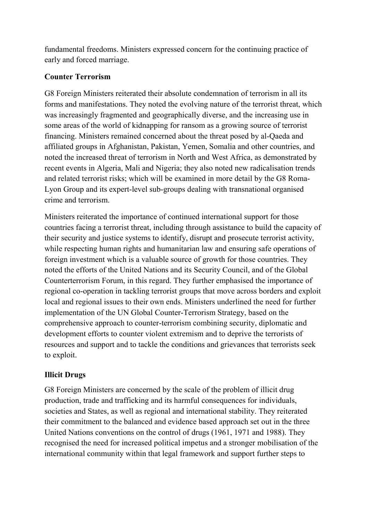fundamental freedoms. Ministers expressed concern for the continuing practice of early and forced marriage.

## **Counter Terrorism**

G8 Foreign Ministers reiterated their absolute condemnation of terrorism in all its forms and manifestations. They noted the evolving nature of the terrorist threat, which was increasingly fragmented and geographically diverse, and the increasing use in some areas of the world of kidnapping for ransom as a growing source of terrorist financing. Ministers remained concerned about the threat posed by al-Qaeda and affiliated groups in Afghanistan, Pakistan, Yemen, Somalia and other countries, and noted the increased threat of terrorism in North and West Africa, as demonstrated by recent events in Algeria, Mali and Nigeria; they also noted new radicalisation trends and related terrorist risks; which will be examined in more detail by the G8 Roma-Lyon Group and its expert-level sub-groups dealing with transnational organised crime and terrorism.

Ministers reiterated the importance of continued international support for those countries facing a terrorist threat, including through assistance to build the capacity of their security and justice systems to identify, disrupt and prosecute terrorist activity, while respecting human rights and humanitarian law and ensuring safe operations of foreign investment which is a valuable source of growth for those countries. They noted the efforts of the United Nations and its Security Council, and of the Global Counterterrorism Forum, in this regard. They further emphasised the importance of regional co-operation in tackling terrorist groups that move across borders and exploit local and regional issues to their own ends. Ministers underlined the need for further implementation of the UN Global Counter-Terrorism Strategy, based on the comprehensive approach to counter-terrorism combining security, diplomatic and development efforts to counter violent extremism and to deprive the terrorists of resources and support and to tackle the conditions and grievances that terrorists seek to exploit.

## **Illicit Drugs**

G8 Foreign Ministers are concerned by the scale of the problem of illicit drug production, trade and trafficking and its harmful consequences for individuals, societies and States, as well as regional and international stability. They reiterated their commitment to the balanced and evidence based approach set out in the three United Nations conventions on the control of drugs (1961, 1971 and 1988). They recognised the need for increased political impetus and a stronger mobilisation of the international community within that legal framework and support further steps to